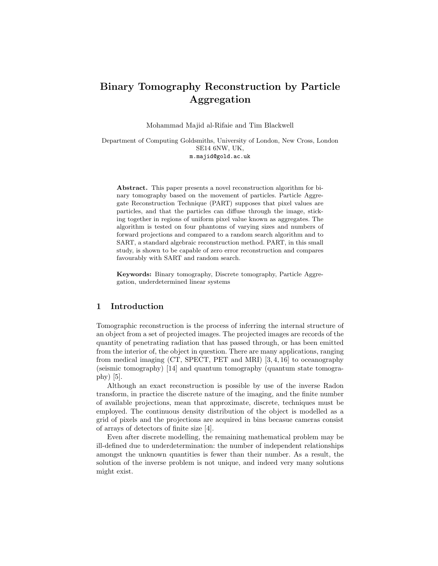# Binary Tomography Reconstruction by Particle Aggregation

Mohammad Majid al-Rifaie and Tim Blackwell

Department of Computing Goldsmiths, University of London, New Cross, London SE14 6NW, UK, m.majid@gold.ac.uk

Abstract. This paper presents a novel reconstruction algorithm for binary tomography based on the movement of particles. Particle Aggregate Reconstruction Technique (PART) supposes that pixel values are particles, and that the particles can diffuse through the image, sticking together in regions of uniform pixel value known as aggregates. The algorithm is tested on four phantoms of varying sizes and numbers of forward projections and compared to a random search algorithm and to SART, a standard algebraic reconstruction method. PART, in this small study, is shown to be capable of zero error reconstruction and compares favourably with SART and random search.

Keywords: Binary tomography, Discrete tomography, Particle Aggregation, underdetermined linear systems

## 1 Introduction

Tomographic reconstruction is the process of inferring the internal structure of an object from a set of projected images. The projected images are records of the quantity of penetrating radiation that has passed through, or has been emitted from the interior of, the object in question. There are many applications, ranging from medical imaging (CT, SPECT, PET and MRI) [3, 4, 16] to oceanography (seismic tomography) [14] and quantum tomography (quantum state tomography) [5].

Although an exact reconstruction is possible by use of the inverse Radon transform, in practice the discrete nature of the imaging, and the finite number of available projections, mean that approximate, discrete, techniques must be employed. The continuous density distribution of the object is modelled as a grid of pixels and the projections are acquired in bins becasue cameras consist of arrays of detectors of finite size [4].

Even after discrete modelling, the remaining mathematical problem may be ill-defined due to underdetermination: the number of independent relationships amongst the unknown quantities is fewer than their number. As a result, the solution of the inverse problem is not unique, and indeed very many solutions might exist.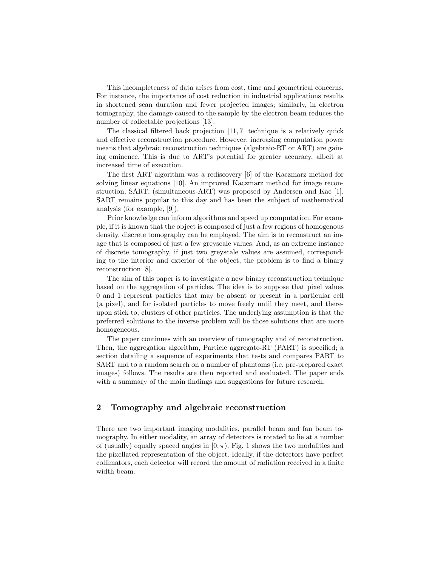This incompleteness of data arises from cost, time and geometrical concerns. For instance, the importance of cost reduction in industrial applications results in shortened scan duration and fewer projected images; similarly, in electron tomography, the damage caused to the sample by the electron beam reduces the number of collectable projections [13].

The classical filtered back projection [11, 7] technique is a relatively quick and effective reconstruction procedure. However, increasing computation power means that algebraic reconstruction techniques (algebraic-RT or ART) are gaining eminence. This is due to ART's potential for greater accuracy, albeit at increased time of execution.

The first ART algorithm was a rediscovery [6] of the Kaczmarz method for solving linear equations [10]. An improved Kaczmarz method for image reconstruction, SART, (simultaneous-ART) was proposed by Andersen and Kac [1]. SART remains popular to this day and has been the subject of mathematical analysis (for example, [9]).

Prior knowledge can inform algorithms and speed up computation. For example, if it is known that the object is composed of just a few regions of homogenous density, discrete tomography can be employed. The aim is to reconstruct an image that is composed of just a few greyscale values. And, as an extreme instance of discrete tomography, if just two greyscale values are assumed, corresponding to the interior and exterior of the object, the problem is to find a binary reconstruction [8].

The aim of this paper is to investigate a new binary reconstruction technique based on the aggregation of particles. The idea is to suppose that pixel values 0 and 1 represent particles that may be absent or present in a particular cell (a pixel), and for isolated particles to move freely until they meet, and thereupon stick to, clusters of other particles. The underlying assumption is that the preferred solutions to the inverse problem will be those solutions that are more homogeneous.

The paper continues with an overview of tomography and of reconstruction. Then, the aggregation algorithm, Particle aggregate-RT (PART) is specified; a section detailing a sequence of experiments that tests and compares PART to SART and to a random search on a number of phantoms (i.e. pre-prepared exact images) follows. The results are then reported and evaluated. The paper ends with a summary of the main findings and suggestions for future research.

# 2 Tomography and algebraic reconstruction

There are two important imaging modalities, parallel beam and fan beam tomography. In either modality, an array of detectors is rotated to lie at a number of (usually) equally spaced angles in  $[0, \pi)$ . Fig. 1 shows the two modalities and the pixellated representation of the object. Ideally, if the detectors have perfect collimators, each detector will record the amount of radiation received in a finite width beam.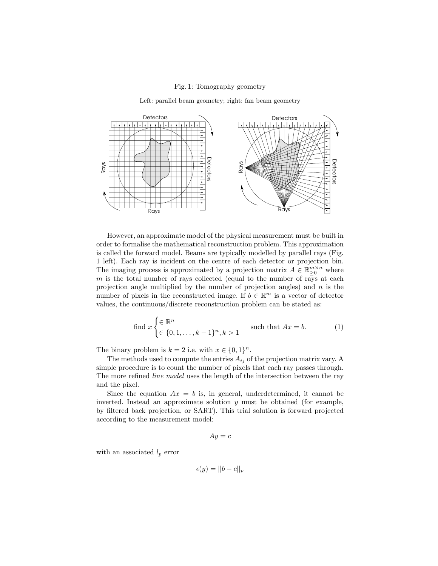## Fig. 1: Tomography geometry

Left: parallel beam geometry; right: fan beam geometry



However, an approximate model of the physical measurement must be built in order to formalise the mathematical reconstruction problem. This approximation is called the forward model. Beams are typically modelled by parallel rays (Fig. 1 left). Each ray is incident on the centre of each detector or projection bin. The imaging process is approximated by a projection matrix  $A \in \mathbb{R}_{\geq 0}^{m \times n}$  where m is the total number of rays collected (equal to the number of rays at each projection angle multiplied by the number of projection angles) and  $n$  is the number of pixels in the reconstructed image. If  $b \in \mathbb{R}^m$  is a vector of detector values, the continuous/discrete reconstruction problem can be stated as:

find 
$$
x \begin{cases} \in \mathbb{R}^n \\ \in \{0, 1, \dots, k-1\}^n, k > 1 \end{cases}
$$
 such that  $Ax = b$ . (1)

The binary problem is  $k = 2$  i.e. with  $x \in \{0, 1\}^n$ .

The methods used to compute the entries  $A_{ij}$  of the projection matrix vary. A simple procedure is to count the number of pixels that each ray passes through. The more refined line model uses the length of the intersection between the ray and the pixel.

Since the equation  $Ax = b$  is, in general, underdetermined, it cannot be inverted. Instead an approximate solution  $y$  must be obtained (for example, by filtered back projection, or SART). This trial solution is forward projected according to the measurement model:

$$
Ay = c
$$

with an associated  $l_p$  error

$$
\epsilon(y) = ||b - c||_p
$$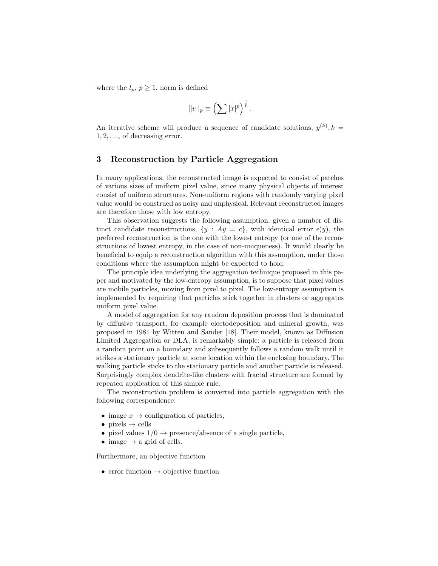where the  $l_p, p \geq 1$ , norm is defined

$$
||v||_p \equiv \left(\sum |x|^p\right)^{\frac{1}{p}}.
$$

An iterative scheme will produce a sequence of candidate solutions,  $y^{(k)}$ ,  $k =$  $1, 2, \ldots$ , of decreasing error.

## 3 Reconstruction by Particle Aggregation

In many applications, the reconstructed image is expected to consist of patches of various sizes of uniform pixel value, since many physical objects of interest consist of uniform structures. Non-uniform regions with randomly varying pixel value would be construed as noisy and unphysical. Relevant reconstructed images are therefore those with low entropy.

This observation suggests the following assumption: given a number of distinct candidate reconstructions,  $\{y : Ay = c\}$ , with identical error  $\epsilon(y)$ , the preferred reconstruction is the one with the lowest entropy (or one of the reconstructions of lowest entropy, in the case of non-uniqueness). It would clearly be beneficial to equip a reconstruction algorithm with this assumption, under those conditions where the assumption might be expected to hold.

The principle idea underlying the aggregation technique proposed in this paper and motivated by the low-entropy assumption, is to suppose that pixel values are mobile particles, moving from pixel to pixel. The low-entropy assumption is implemented by requiring that particles stick together in clusters or aggregates uniform pixel value.

A model of aggregation for any random deposition process that is dominated by diffusive transport, for example electodeposition and mineral growth, was proposed in 1981 by Witten and Sander [18]. Their model, known as Diffusion Limited Aggregation or DLA, is remarkably simple: a particle is released from a random point on a boundary and subsequently follows a random walk until it strikes a stationary particle at some location within the enclosing boundary. The walking particle sticks to the stationary particle and another particle is released. Surprisingly complex dendrite-like clusters with fractal structure are formed by repeated application of this simple rule.

The reconstruction problem is converted into particle aggregation with the following correspondence:

- image  $x \to$  configuration of particles,
- pixels  $\rightarrow$  cells
- pixel values  $1/0 \rightarrow$  presence/absence of a single particle,
- image  $\rightarrow$  a grid of cells.

Furthermore, an objective function

• error function  $\rightarrow$  objective function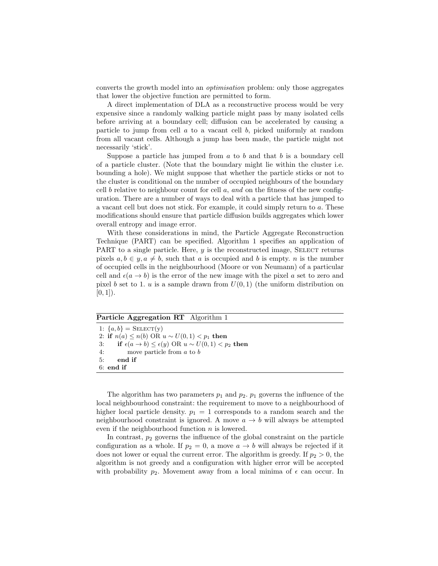converts the growth model into an optimisation problem: only those aggregates that lower the objective function are permitted to form.

A direct implementation of DLA as a reconstructive process would be very expensive since a randomly walking particle might pass by many isolated cells before arriving at a boundary cell; diffusion can be accelerated by causing a particle to jump from cell  $a$  to a vacant cell  $b$ , picked uniformly at random from all vacant cells. Although a jump has been made, the particle might not necessarily 'stick'.

Suppose a particle has jumped from  $a$  to  $b$  and that  $b$  is a boundary cell of a particle cluster. (Note that the boundary might lie within the cluster i.e. bounding a hole). We might suppose that whether the particle sticks or not to the cluster is conditional on the number of occupied neighbours of the boundary cell b relative to neighbour count for cell  $a$ , and on the fitness of the new configuration. There are a number of ways to deal with a particle that has jumped to a vacant cell but does not stick. For example, it could simply return to a. These modifications should ensure that particle diffusion builds aggregates which lower overall entropy and image error.

With these considerations in mind, the Particle Aggregate Reconstruction Technique (PART) can be specified. Algorithm 1 specifies an application of PART to a single particle. Here,  $y$  is the reconstructed image, SELECT returns pixels  $a, b \in y, a \neq b$ , such that a is occupied and b is empty. n is the number of occupied cells in the neighbourhood (Moore or von Neumann) of a particular cell and  $\epsilon(a \to b)$  is the error of the new image with the pixel a set to zero and pixel b set to 1. u is a sample drawn from  $U(0, 1)$  (the uniform distribution on  $[0, 1]$ ).

Particle Aggregation RT Algorithm 1

1:  ${a,b}$  = SELECT(y) 2: if  $n(a) \leq n(b)$  OR  $u \sim U(0, 1) < p_1$  then 3: if  $\epsilon(a \to b) \leq \epsilon(y)$  OR  $u \sim U(0, 1) < p_2$  then 4: move particle from a to b 5: end if 6: end if

The algorithm has two parameters  $p_1$  and  $p_2$ .  $p_1$  governs the influence of the local neighbourhood constraint: the requirement to move to a neighbourhood of higher local particle density.  $p_1 = 1$  corresponds to a random search and the neighbourhood constraint is ignored. A move  $a \rightarrow b$  will always be attempted even if the neighbourhood function  $n$  is lowered.

In contrast,  $p_2$  governs the influence of the global constraint on the particle configuration as a whole. If  $p_2 = 0$ , a move  $a \rightarrow b$  will always be rejected if it does not lower or equal the current error. The algorithm is greedy. If  $p_2 > 0$ , the algorithm is not greedy and a configuration with higher error will be accepted with probability  $p_2$ . Movement away from a local minima of  $\epsilon$  can occur. In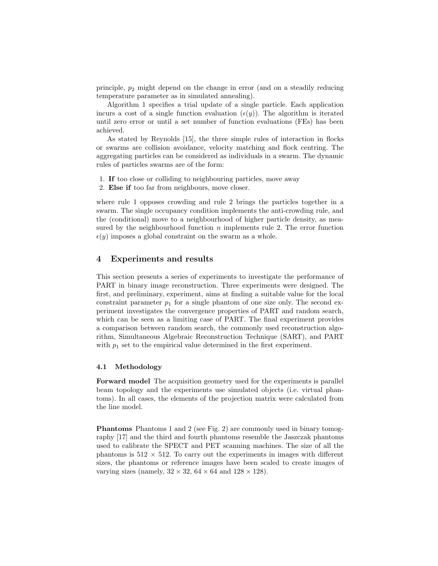principle,  $p_2$  might depend on the change in error (and on a steadily reducing temperature parameter as in simulated annealing).

Algorithm 1 specifies a trial update of a single particle. Each application incurs a cost of a single function evaluation  $(\epsilon(y))$ . The algorithm is iterated until zero error or until a set number of function evaluations (FEs) has been achieved.

As stated by Reynolds [15], the three simple rules of interaction in flocks or swarms are collision avoidance, velocity matching and flock centring. The aggregating particles can be considered as individuals in a swarm. The dynamic rules of particles swarms are of the form:

1. If too close or colliding to neighbouring particles, move away

2. Else if too far from neighbours, move closer.

where rule 1 opposes crowding and rule 2 brings the particles together in a swarm. The single occupancy condition implements the anti-crowding rule, and the (conditional) move to a neighbourhood of higher particle density, as measured by the neighbourhood function  $n$  implements rule 2. The error function  $\epsilon(y)$  imposes a global constraint on the swarm as a whole.

# 4 Experiments and results

This section presents a series of experiments to investigate the performance of PART in binary image reconstruction. Three experiments were designed. The first, and preliminary, experiment, aims at finding a suitable value for the local constraint parameter  $p_1$  for a single phantom of one size only. The second experiment investigates the convergence properties of PART and random search, which can be seen as a limiting case of PART. The final experiment provides a comparison between random search, the commonly used reconstruction algorithm, Simultaneous Algebraic Reconstruction Technique (SART), and PART with  $p_1$  set to the empirical value determined in the first experiment.

#### 4.1 Methodology

Forward model The acquisition geometry used for the experiments is parallel beam topology and the experiments use simulated objects (i.e. virtual phantoms). In all cases, the elements of the projection matrix were calculated from the line model.

Phantoms Phantoms 1 and 2 (see Fig. 2) are commonly used in binary tomography [17] and the third and fourth phantoms resemble the Jaszczak phantoms used to calibrate the SPECT and PET scanning machines. The size of all the phantoms is  $512 \times 512$ . To carry out the experiments in images with different sizes, the phantoms or reference images have been scaled to create images of varying sizes (namely,  $32 \times 32$ ,  $64 \times 64$  and  $128 \times 128$ ).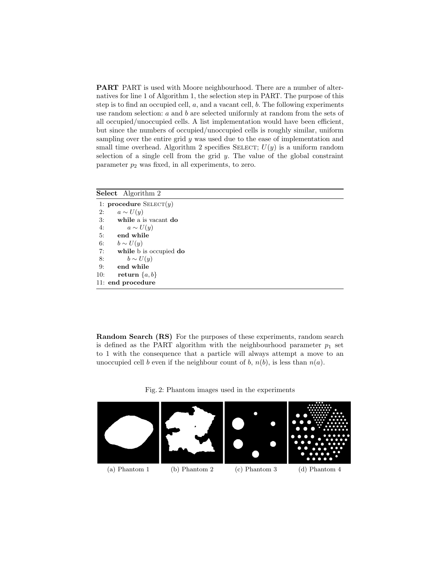**PART** PART is used with Moore neighbourhood. There are a number of alternatives for line 1 of Algorithm 1, the selection step in PART. The purpose of this step is to find an occupied cell,  $a$ , and a vacant cell,  $b$ . The following experiments use random selection: a and b are selected uniformly at random from the sets of all occupied/unoccupied cells. A list implementation would have been efficient, but since the numbers of occupied/unoccupied cells is roughly similar, uniform sampling over the entire grid  $y$  was used due to the ease of implementation and small time overhead. Algorithm 2 specifies SELECT;  $U(y)$  is a uniform random selection of a single cell from the grid  $y$ . The value of the global constraint parameter  $p_2$  was fixed, in all experiments, to zero.

|     | <b>Select</b> Algorithm 2       |
|-----|---------------------------------|
|     | 1: procedure $\text{SELECT}(y)$ |
| 2:  | $a \sim U(y)$                   |
| 3:  | while a is vacant do            |
| 4:  | $a \sim U(y)$                   |
| 5:  | end while                       |
| 6:  | $b \sim U(y)$                   |
| 7:  | while b is occupied do          |
| 8:  | $b \sim U(y)$                   |
| 9:  | end while                       |
| 10: | return $\{a, b\}$               |
|     | 11: end procedure               |

Random Search (RS) For the purposes of these experiments, random search is defined as the PART algorithm with the neighbourhood parameter  $p_1$  set to 1 with the consequence that a particle will always attempt a move to an unoccupied cell b even if the neighbour count of b,  $n(b)$ , is less than  $n(a)$ .



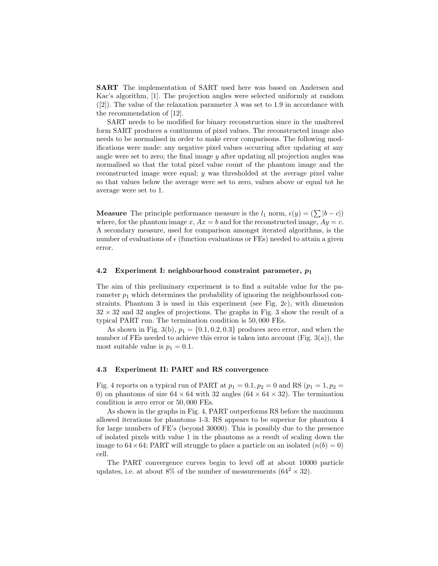SART The implementation of SART used here was based on Andersen and Kac's algorithm, [1]. The projection angles were selected uniformly at random ([2]). The value of the relaxation parameter  $\lambda$  was set to 1.9 in accordance with the recommendation of [12].

SART needs to be modified for binary reconstruction since in the unaltered form SART produces a continuum of pixel values. The reconstructed image also needs to be normalised in order to make error comparisons. The following modifications were made: any negative pixel values occurring after updating at any angle were set to zero; the final image  $y$  after updating all projection angles was normalised so that the total pixel value count of the phantom image and the reconstructed image were equal; y was thresholded at the average pixel value so that values below the average were set to zero, values above or equal tot he average were set to 1.

**Measure** The principle performance measure is the  $l_1$  norm,  $\epsilon(y) = (\sum |b - c|)$ where, for the phantom image x,  $Ax = b$  and for the reconstructed image,  $Ay = c$ . A secondary measure, used for comparison amongst iterated algorithms, is the number of evaluations of  $\epsilon$  (function evaluations or FEs) needed to attain a given error.

#### 4.2 Experiment I: neighbourhood constraint parameter,  $p_1$

The aim of this preliminary experiment is to find a suitable value for the parameter  $p_1$  which determines the probability of ignoring the neighbourhood constraints. Phantom 3 is used in this experiment (see Fig. 2c), with dimension  $32 \times 32$  and 32 angles of projections. The graphs in Fig. 3 show the result of a typical PART run. The termination condition is 50, 000 FEs.

As shown in Fig. 3(b),  $p_1 = \{0.1, 0.2, 0.3\}$  produces zero error, and when the number of FEs needed to achieve this error is taken into account (Fig. 3(a)), the most suitable value is  $p_1 = 0.1$ .

## 4.3 Experiment II: PART and RS convergence

Fig. 4 reports on a typical run of PART at  $p_1 = 0.1, p_2 = 0$  and RS  $(p_1 = 1, p_2 = 1)$ 0) on phantoms of size  $64 \times 64$  with 32 angles  $(64 \times 64 \times 32)$ . The termination condition is zero error or 50, 000 FEs.

As shown in the graphs in Fig. 4, PART outperforms RS before the maximum allowed iterations for phantoms 1-3. RS appears to be superior for phantom 4 for large numbers of FE's (beyond 30000). This is possibly due to the presence of isolated pixels with value 1 in the phantoms as a result of scaling down the image to  $64 \times 64$ ; PART will struggle to place a particle on an isolated  $(n(b) = 0)$ cell.

The PART convergence curves begin to level off at about 10000 particle updates, i.e. at about 8% of the number of measurements  $(64^2 \times 32)$ .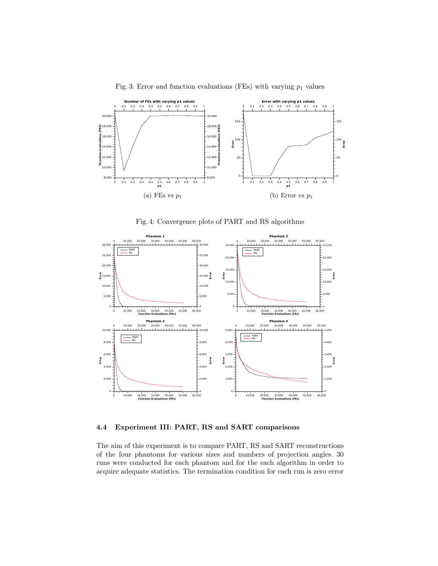

Fig. 3: Error and function evaluations (FEs) with varying  $p_1$  values

Fig. 4: Convergence plots of PART and RS algorithms



4.4 Experiment III: PART, RS and SART comparisons

The aim of this experiment is to compare PART, RS and SART reconstructions of the four phantoms for various sizes and numbers of projection angles. 30 runs were conducted for each phantom and for the each algorithm in order to acquire adequate statistics. The termination condition for each run is zero error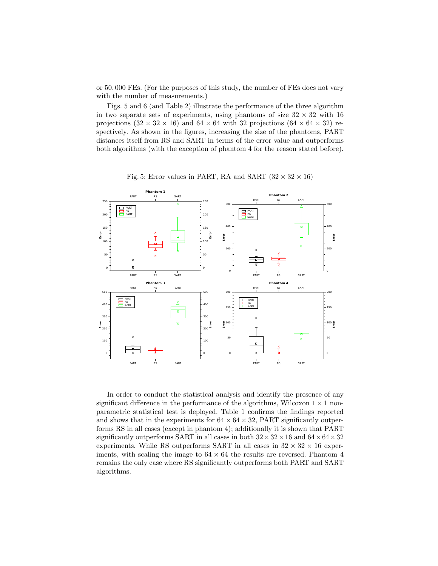or 50, 000 FEs. (For the purposes of this study, the number of FEs does not vary with the number of measurements.)

Figs. 5 and 6 (and Table 2) illustrate the performance of the three algorithm in two separate sets of experiments, using phantoms of size  $32 \times 32$  with 16 projections  $(32 \times 32 \times 16)$  and  $64 \times 64$  with 32 projections  $(64 \times 64 \times 32)$  respectively. As shown in the figures, increasing the size of the phantoms, PART distances itself from RS and SART in terms of the error value and outperforms both algorithms (with the exception of phantom 4 for the reason stated before).



Fig. 5: Error values in PART, RA and SART  $(32 \times 32 \times 16)$ 

In order to conduct the statistical analysis and identify the presence of any significant difference in the performance of the algorithms, Wilcoxon  $1 \times 1$  nonparametric statistical test is deployed. Table 1 confirms the findings reported and shows that in the experiments for  $64 \times 64 \times 32$ , PART significantly outperforms RS in all cases (except in phantom 4); additionally it is shown that PART significantly outperforms SART in all cases in both  $32 \times 32 \times 16$  and  $64 \times 64 \times 32$ experiments. While RS outperforms SART in all cases in  $32 \times 32 \times 16$  experiments, with scaling the image to  $64 \times 64$  the results are reversed. Phantom 4 remains the only case where RS significantly outperforms both PART and SART algorithms.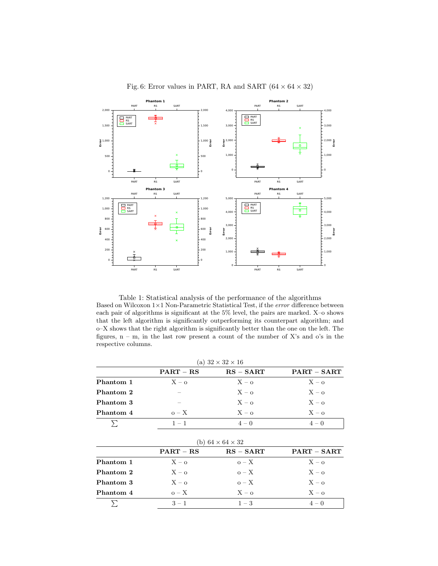

Fig. 6: Error values in PART, RA and SART  $(64 \times 64 \times 32)$ 

Table 1: Statistical analysis of the performance of the algorithms Based on Wilcoxon  $1\times1$  Non-Parametric Statistical Test, if the *error* difference between each pair of algorithms is significant at the 5% level, the pairs are marked. X–o shows that the left algorithm is significantly outperforming its counterpart algorithm; and o–X shows that the right algorithm is significantly better than the one on the left. The figures,  $n - m$ , in the last row present a count of the number of X's and o's in the respective columns.

| (a) $32 \times 32 \times 16$ |             |              |               |  |  |  |  |
|------------------------------|-------------|--------------|---------------|--|--|--|--|
|                              | $PART - RS$ | $RS - SART$  | $PART - SART$ |  |  |  |  |
| Phantom 1                    | $X - 0$     | $X - 0$      | $X - \alpha$  |  |  |  |  |
| Phantom 2                    |             | $X - \alpha$ | $X - 0$       |  |  |  |  |
| Phantom 3                    |             | $X - \alpha$ | $X - \alpha$  |  |  |  |  |
| Phantom 4                    | $o - X$     | $X - \alpha$ | $X - \alpha$  |  |  |  |  |
|                              | $1 - 1$     | $4 - 0$      | $4 - 0$       |  |  |  |  |
|                              |             |              |               |  |  |  |  |

(b)  $64 \times 64 \times 32$ 

|           | $PART - RS$ | $RS - SART$  | $PART - SART$ |
|-----------|-------------|--------------|---------------|
| Phantom 1 | $X - 0$     | $o - X$      | $X - o$       |
| Phantom 2 | $X - 0$     | $o - X$      | $X - \alpha$  |
| Phantom 3 | $X - 0$     | $o - X$      | $X - 0$       |
| Phantom 4 | $o - X$     | $X - \alpha$ | $X - \alpha$  |
|           | $3 - 1$     | $1 - 3$      | $4 - 0$       |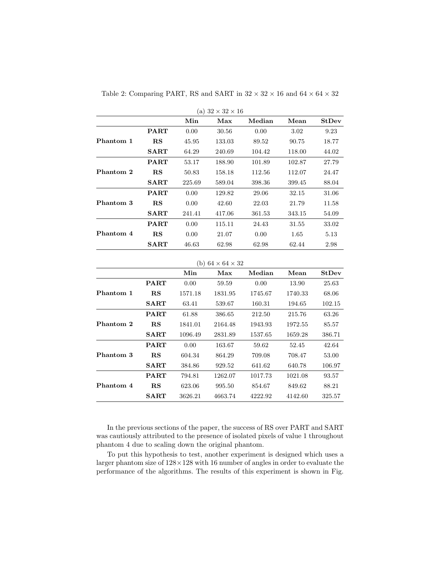|           | $32 \times 32 \times 16$<br>(a) |        |             |        |        |              |
|-----------|---------------------------------|--------|-------------|--------|--------|--------------|
|           |                                 | Min    | ${\rm Max}$ | Median | Mean   | <b>StDev</b> |
|           | PART                            | 0.00   | 30.56       | 0.00   | 3.02   | 9.23         |
| Phantom 1 | RS                              | 45.95  | 133.03      | 89.52  | 90.75  | 18.77        |
|           | SART                            | 64.29  | 240.69      | 104.42 | 118.00 | 44.02        |
|           | $\rm_{PART}$                    | 53.17  | 188.90      | 101.89 | 102.87 | 27.79        |
| Phantom 2 | $_{\rm RS}$                     | 50.83  | 158.18      | 112.56 | 112.07 | 24.47        |
|           | SART                            | 225.69 | 589.04      | 398.36 | 399.45 | 88.04        |
|           | PART                            | 0.00   | 129.82      | 29.06  | 32.15  | 31.06        |
| Phantom 3 | $_{\rm RS}$                     | 0.00   | 42.60       | 22.03  | 21.79  | 11.58        |
|           | $\operatorname{\bf{SART}}$      | 241.41 | 417.06      | 361.53 | 343.15 | 54.09        |
|           | PART                            | 0.00   | 115.11      | 24.43  | 31.55  | 33.02        |
| Phantom 4 | $_{\rm RS}$                     | 0.00   | 21.07       | 0.00   | 1.65   | 5.13         |
|           | $\operatorname{\bf{SART}}$      | 46.63  | 62.98       | 62.98  | 62.44  | 2.98         |

Table 2: Comparing PART, RS and SART in  $32\times32\times16$  and  $64\times64\times32$ 

| (b) $64 \times 64 \times 32$ |  |  |  |  |  |  |
|------------------------------|--|--|--|--|--|--|
|------------------------------|--|--|--|--|--|--|

|           |                       | Min     | ${\rm Max}$ | Median  | Mean    | <b>StDev</b> |
|-----------|-----------------------|---------|-------------|---------|---------|--------------|
|           | <b>PART</b>           | 0.00    | 59.59       | 0.00    | 13.90   | 25.63        |
| Phantom 1 | $_{\rm RS}$           | 1571.18 | 1831.95     | 1745.67 | 1740.33 | 68.06        |
|           | SART                  | 63.41   | 539.67      | 160.31  | 194.65  | 102.15       |
|           | <b>PART</b>           | 61.88   | 386.65      | 212.50  | 215.76  | 63.26        |
| Phantom 2 | $_{\rm RS}$           | 1841.01 | 2164.48     | 1943.93 | 1972.55 | 85.57        |
|           | SART                  | 1096.49 | 2831.89     | 1537.65 | 1659.28 | 386.71       |
|           | <b>PART</b>           | 0.00    | 163.67      | 59.62   | 52.45   | 42.64        |
| Phantom 3 | RS                    | 604.34  | 864.29      | 709.08  | 708.47  | 53.00        |
|           | <b>SART</b>           | 384.86  | 929.52      | 641.62  | 640.78  | 106.97       |
|           | <b>PART</b>           | 794.81  | 1262.07     | 1017.73 | 1021.08 | 93.57        |
| Phantom 4 | $_{\rm RS}$           | 623.06  | 995.50      | 854.67  | 849.62  | 88.21        |
|           | $\operatorname{SART}$ | 3626.21 | 4663.74     | 4222.92 | 4142.60 | 325.57       |

In the previous sections of the paper, the success of RS over PART and SART was cautiously attributed to the presence of isolated pixels of value 1 throughout phantom 4 due to scaling down the original phantom.

To put this hypothesis to test, another experiment is designed which uses a larger phantom size of 128×128 with 16 number of angles in order to evaluate the performance of the algorithms. The results of this experiment is shown in Fig.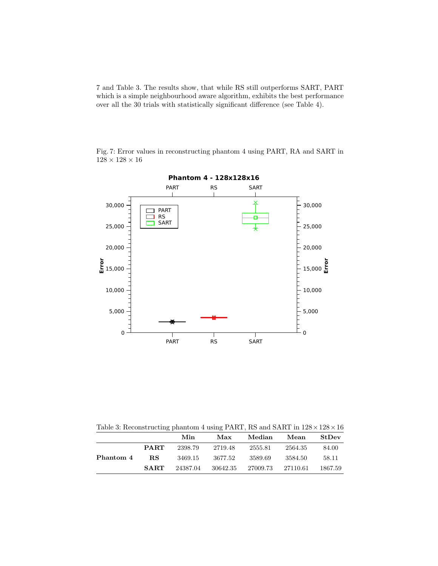7 and Table 3. The results show, that while RS still outperforms SART, PART which is a simple neighbourhood aware algorithm, exhibits the best performance over all the 30 trials with statistically significant difference (see Table 4).



Fig. 7: Error values in reconstructing phantom 4 using PART, RA and SART in  $128\times128\times16$ 

Table 3: Reconstructing phantom 4 using PART, RS and SART in  $128\times128\times16$ 

|           |             | Min      | Max      | Median   | Mean     | <b>StDev</b> |
|-----------|-------------|----------|----------|----------|----------|--------------|
|           | <b>PART</b> | 2398.79  | 2719.48  | 2555.81  | 2564.35  | 84.00        |
| Phantom 4 | RS.         | 3469.15  | 3677.52  | 3589.69  | 3584.50  | 58.11        |
|           | <b>SART</b> | 24387.04 | 30642.35 | 27009.73 | 27110.61 | 1867.59      |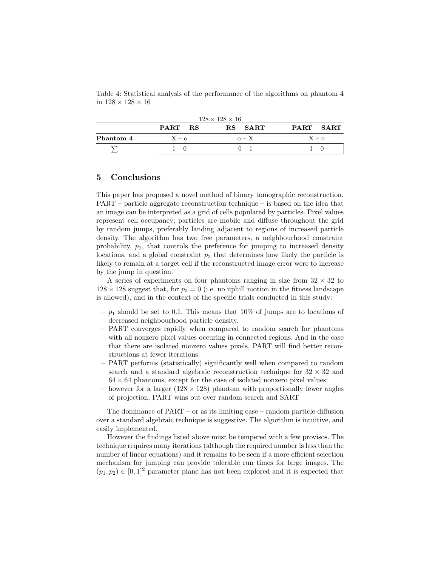Table 4: Statistical analysis of the performance of the algorithms on phantom 4 in  $128\times128\times16$ 

| $128 \times 128 \times 16$ |  |
|----------------------------|--|
|----------------------------|--|

|           |              | ------------------- |               |
|-----------|--------------|---------------------|---------------|
|           | $PART - RS$  | $RS - SART$         | $PART - SART$ |
| Phantom 4 | $X - \alpha$ | $o - X$             | $X - \alpha$  |
|           | $1 - 0$      | $0 - 1$             | $1 - 0$       |
|           |              |                     |               |

# 5 Conclusions

This paper has proposed a novel method of binary tomographic reconstruction. PART – particle aggregate reconstruction technique – is based on the idea that an image can be interpreted as a grid of cells populated by particles. Pixel values represent cell occupancy; particles are mobile and diffuse throughout the grid by random jumps, preferably landing adjacent to regions of increased particle density. The algorithm has two free parameters, a neighbourhood constraint probability,  $p_1$ , that controls the preference for jumping to increased density locations, and a global constraint  $p_2$  that determines how likely the particle is likely to remain at a target cell if the reconstructed image error were to increase by the jump in question.

A series of experiments on four phantoms ranging in size from  $32 \times 32$  to  $128 \times 128$  suggest that, for  $p_2 = 0$  (i.e. no uphill motion in the fitness landscape is allowed), and in the context of the specific trials conducted in this study:

- $-p_1$  should be set to 0.1. This means that 10% of jumps are to locations of decreased neighbourhood particle density.
- PART converges rapidly when compared to random search for phantoms with all nonzero pixel values occuring in connected regions. And in the case that there are isolated nonzero values pixels, PART will find better reconstructions at fewer iterations.
- PART performs (statistically) significantly well when compared to random search and a standard algebraic reconstruction technique for  $32 \times 32$  and  $64 \times 64$  phantoms, except for the case of isolated nonzero pixel values;
- however for a larger  $(128 \times 128)$  phantom with proportionally fewer angles of projection, PART wins out over random search and SART

The dominance of PART – or as its limiting case – random particle diffusion over a standard algebraic technique is suggestive. The algorithm is intuitive, and easily implemented.

However the findings listed above must be tempered with a few provisos. The technique requires many iterations (although the required number is less than the number of linear equations) and it remains to be seen if a more efficient selection mechanism for jumping can provide tolerable run times for large images. The  $(p_1, p_2) \in [0, 1]^2$  parameter plane has not been explored and it is expected that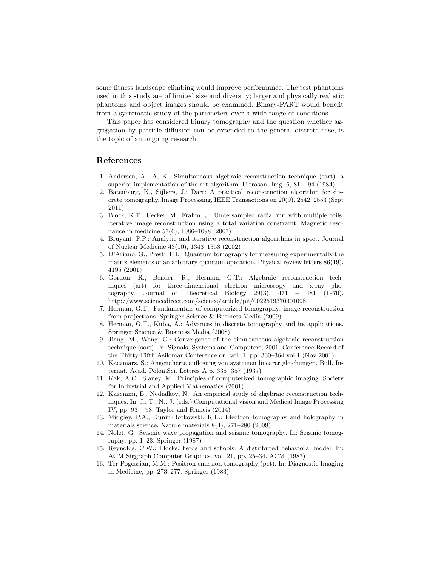some fitness landscape climbing would improve performance. The test phantoms used in this study are of limited size and diversity; larger and physically realistic phantoms and object images should be examined. Binary-PART would benefit from a systematic study of the parameters over a wide range of conditions.

This paper has considered binary tomography and the question whether aggregation by particle diffusion can be extended to the general discrete case, is the topic of an ongoing research.

# References

- 1. Andersen, A., A, K.: Simultaneous algebraic reconstruction technique (sart): a superior implementation of the art algorithm. Ultrason. Img. 6, 81 – 94 (1984)
- 2. Batenburg, K., Sijbers, J.: Dart: A practical reconstruction algorithm for discrete tomography. Image Processing, IEEE Transactions on 20(9), 2542–2553 (Sept 2011)
- 3. Block, K.T., Uecker, M., Frahm, J.: Undersampled radial mri with multiple coils. iterative image reconstruction using a total variation constraint. Magnetic resonance in medicine 57(6), 1086–1098 (2007)
- 4. Bruyant, P.P.: Analytic and iterative reconstruction algorithms in spect. Journal of Nuclear Medicine 43(10), 1343–1358 (2002)
- 5. D'Ariano, G., Presti, P.L.: Quantum tomography for measuring experimentally the matrix elements of an arbitrary quantum operation. Physical review letters 86(19), 4195 (2001)
- 6. Gordon, R., Bender, R., Herman, G.T.: Algebraic reconstruction techniques (art) for three-dimensional electron microscopy and x-ray photography. Journal of Theoretical Biology 29(3), 471 – 481 (1970), http://www.sciencedirect.com/science/article/pii/0022519370901098
- 7. Herman, G.T.: Fundamentals of computerized tomography: image reconstruction from projections. Springer Science & Business Media (2009)
- 8. Herman, G.T., Kuba, A.: Advances in discrete tomography and its applications. Springer Science & Business Media (2008)
- 9. Jiang, M., Wang, G.: Convergence of the simultaneous algebraic reconstruction technique (sart). In: Signals, Systems and Computers, 2001. Conference Record of the Thirty-Fifth Asilomar Conference on. vol. 1, pp. 360–364 vol.1 (Nov 2001)
- 10. Kaczmarz, S.: Angenaherte auflosung von systemen linearer gleichungen. Bull. Internat. Acad. Polon.Sci. Lettres A p. 335 357 (1937)
- 11. Kak, A.C., Slaney, M.: Principles of computerized tomographic imaging. Society for Industrial and Applied Mathematics (2001)
- 12. Kazemini, E., Nedialkov, N.: An empirical study of algebraic reconstruction techniques. In: J., T., N., J. (eds.) Computational vision and Medical Image Processing IV, pp. 93 – 98. Taylor and Francis (2014)
- 13. Midgley, P.A., Dunin-Borkowski, R.E.: Electron tomography and holography in materials science. Nature materials 8(4), 271–280 (2009)
- 14. Nolet, G.: Seismic wave propagation and seismic tomography. In: Seismic tomography, pp. 1–23. Springer (1987)
- 15. Reynolds, C.W.: Flocks, herds and schools: A distributed behavioral model. In: ACM Siggraph Computer Graphics. vol. 21, pp. 25–34. ACM (1987)
- 16. Ter-Pogossian, M.M.: Positron emission tomography (pet). In: Diagnostic Imaging in Medicine, pp. 273–277. Springer (1983)